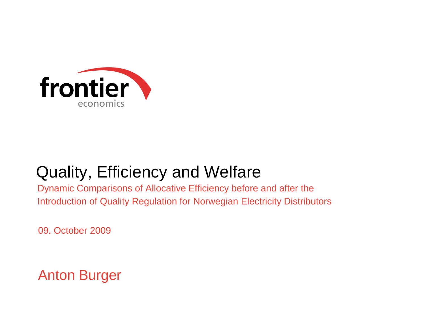

# Quality, Efficiency and Welfare

Dynamic Comparisons of Allocative Efficiency before and after the Introduction of Quality Regulation for Norwegian Electricity Distributors

09. October 2009

#### Anton Burger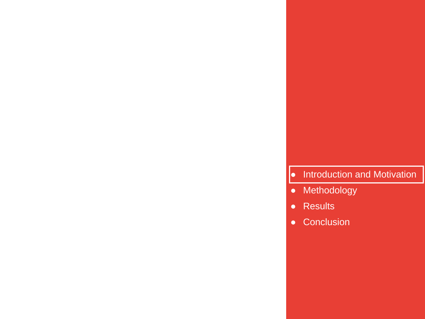#### $\bullet$  Introduction and Motivation  $\vert$

- Methodology
- Results

**2 Frontier Economics**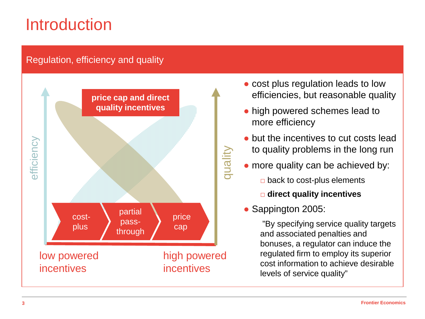# **Introduction**

#### Regulation, efficiency and quality



- cost plus regulation leads to low efficiencies, but reasonable quality
- high powered schemes lead to more efficiency
- but the incentives to cut costs lead to quality problems in the long run
- more quality can be achieved by:
	- $\Box$  back to cost-plus elements
	- □ **direct quality incentives**
- Sappington 2005:

"By specifying service quality targets and associated penalties and bonuses, a regulator can induce the regulated firm to employ its superior cost information to achieve desirable levels of service quality"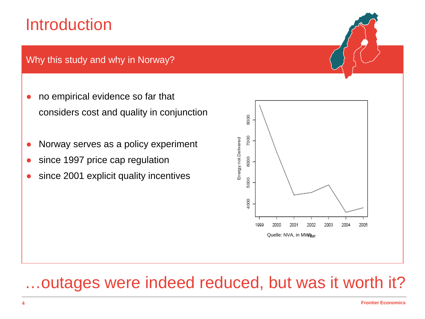# **Introduction**

Why this study and why in Norway?

- no empirical evidence so far that considers cost and quality in conjunction
- Norway serves as a policy experiment
- since 1997 price cap regulation
- since 2001 explicit quality incentives



#### …outages were indeed reduced, but was it worth it?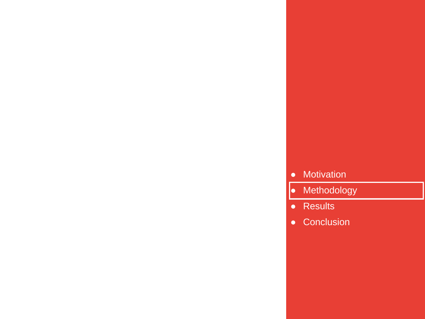#### ● Motivation

- Methodology
- Results

**5 Frontier Economics**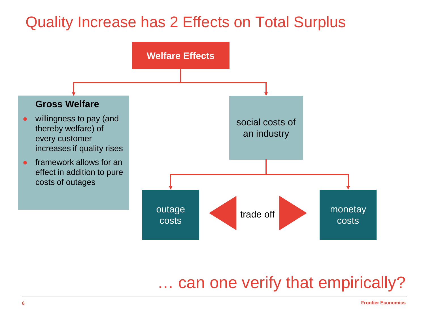### Quality Increase has 2 Effects on Total Surplus



#### … can one verify that empirically?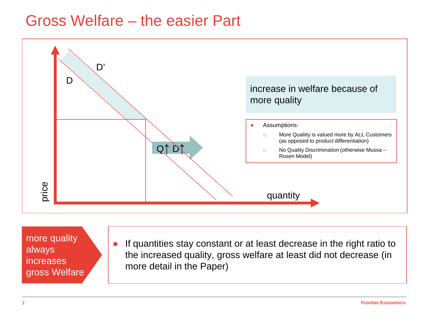#### Gross Welfare – the easier Part



more quality always **increases** gross Welfare

If quantities stay constant or at least decrease in the right ratio to the increased quality, gross welfare at least did not decrease (in more detail in the Paper)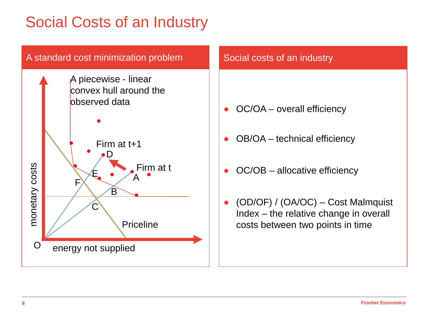## Social Costs of an Industry

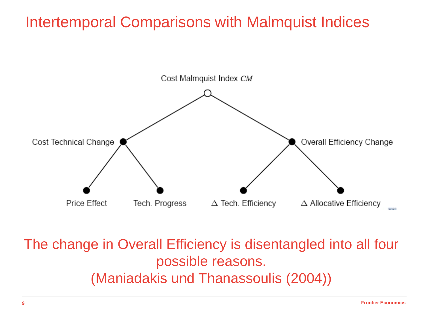#### Intertemporal Comparisons with Malmquist Indices



The change in Overall Efficiency is disentangled into all four possible reasons. (Maniadakis und Thanassoulis (2004))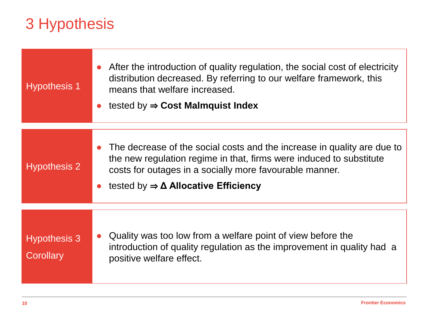## 3 Hypothesis

| <b>Hypothesis 1</b>              | After the introduction of quality regulation, the social cost of electricity<br>distribution decreased. By referring to our welfare framework, this<br>means that welfare increased.<br>tested by $\Rightarrow$ Cost Malmquist Index |  |  |  |
|----------------------------------|--------------------------------------------------------------------------------------------------------------------------------------------------------------------------------------------------------------------------------------|--|--|--|
|                                  | The decrease of the social costs and the increase in quality are due to                                                                                                                                                              |  |  |  |
| <b>Hypothesis 2</b>              | the new regulation regime in that, firms were induced to substitute<br>costs for outages in a socially more favourable manner.                                                                                                       |  |  |  |
|                                  | tested by $\Rightarrow \Delta$ Allocative Efficiency                                                                                                                                                                                 |  |  |  |
|                                  |                                                                                                                                                                                                                                      |  |  |  |
| <b>Hypothesis 3</b><br>Corollary | Quality was too low from a welfare point of view before the<br>introduction of quality regulation as the improvement in quality had a<br>positive welfare effect.                                                                    |  |  |  |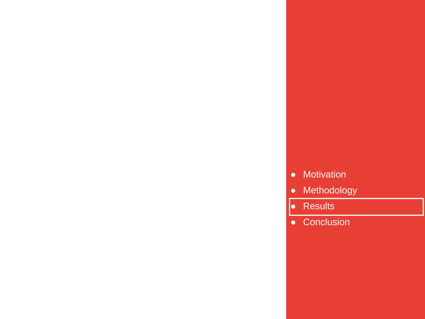#### ● Motivation

- Methodology
- Results

**11 Frontier Economics**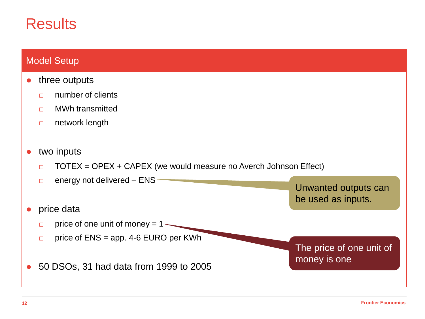#### **Results**

#### Model Setup

- three outputs
	- □ number of clients
	- □ MWh transmitted
	- □ network length
- two inputs
	- $\Box$  TOTEX = OPEX + CAPEX (we would measure no Averch Johnson Effect)

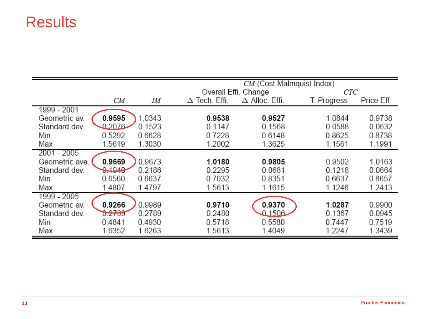#### **Results**

|                          |        | CM (Cost Malmquist Index) |                       |             |            |  |
|--------------------------|--------|---------------------------|-----------------------|-------------|------------|--|
|                          |        |                           | Overall Effi. Change  |             | CTC        |  |
| CМ                       | IΜ     | $\Delta$ Tech. Effi.      | $\Delta$ Alloc. Effi. | T. Progress | Price Eff. |  |
| 1999 - 2001              |        |                           |                       |             |            |  |
| 0.9595<br>Geometric av.  | 1.0343 | 0.9538                    | 0.9527                | 1.0844      | 0.9738     |  |
| 0.2076<br>Standard dev.  | 0.1523 | 0.1147                    | 0.1568                | 0.0588      | 0.0632     |  |
| 0.5292<br>Min            | 0.6628 | 0.7228                    | 0.6148                | 0.8625      | 0.8738     |  |
| 1.5619<br>Max            | 1.3030 | 1.2002                    | 1.3625                | 1.1561      | 1.1991     |  |
| 2001 - 2005              |        |                           |                       |             |            |  |
| 0.9669<br>Geometric ave. | 0.9673 | 1.0180                    | 0.9805                | 0.9502      | 1.0163     |  |
| 0.1940<br>Standard dev.  | 0.2186 | 0.2295                    | 0.0681                | 0.1218      | 0.0664     |  |
| 0.6560<br>Min            | 0.6637 | 0.7032                    | 0.8351                | 0.6637      | 0.8657     |  |
| 1.4807<br>Max            | 1.4797 | 1.5613                    | 1.1615                | 1.1246      | 1.2413     |  |
| 1999 - 2005              |        |                           |                       |             |            |  |
| 0.9266<br>Geometric av.  | 0.9989 | 0.9710                    | 0.9370                | 1.0287      | 0.9900     |  |
| 0.2739<br>Standard dev.  | 0.2789 | 0.2480                    | 0.1506                | 0.1367      | 0.0945     |  |
| 0.4841<br>Min            | 0.4930 | 0.5718                    | 0.5580                | 0.7447      | 0.7519     |  |
| 1.6352<br>Max            | 1.6263 | 1.5613                    | 1.4049                | 1.2247      | 1.3439     |  |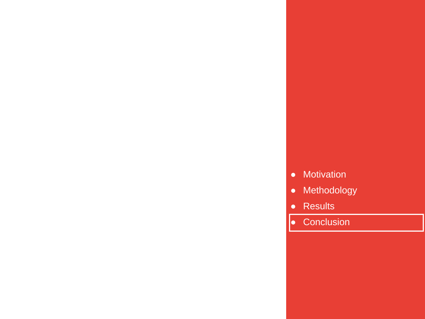- Motivation
- Methodology
- Results

**14 Frontier Economics**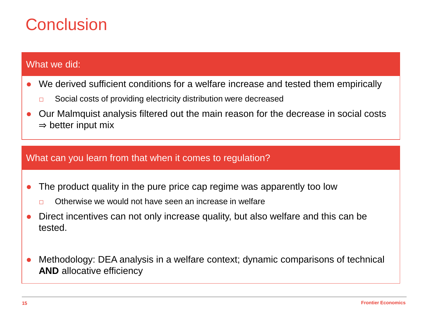## Conclusion

#### What we did:

- We derived sufficient conditions for a welfare increase and tested them empirically
	- □ Social costs of providing electricity distribution were decreased
- Our Malmquist analysis filtered out the main reason for the decrease in social costs  $\Rightarrow$  better input mix

#### What can you learn from that when it comes to regulation?

- The product quality in the pure price cap regime was apparently too low
	- $\Box$  Otherwise we would not have seen an increase in welfare
- Direct incentives can not only increase quality, but also welfare and this can be tested.
- Methodology: DEA analysis in a welfare context; dynamic comparisons of technical **AND** allocative efficiency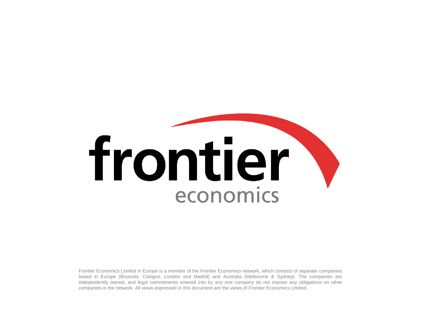# frontier economics

Frontier Economics Limited in Europe is a member of the Frontier Economics network, which consists of separate companies based in Europe (Brussels, Cologne, London and Madrid) and Australia (Melbourne & Sydney). The companies are independently owned, and legal commitments entered into by any one company do not impose any obligations on other companies in the network. All views expressed in this document are the views of Frontier Economics Limited.